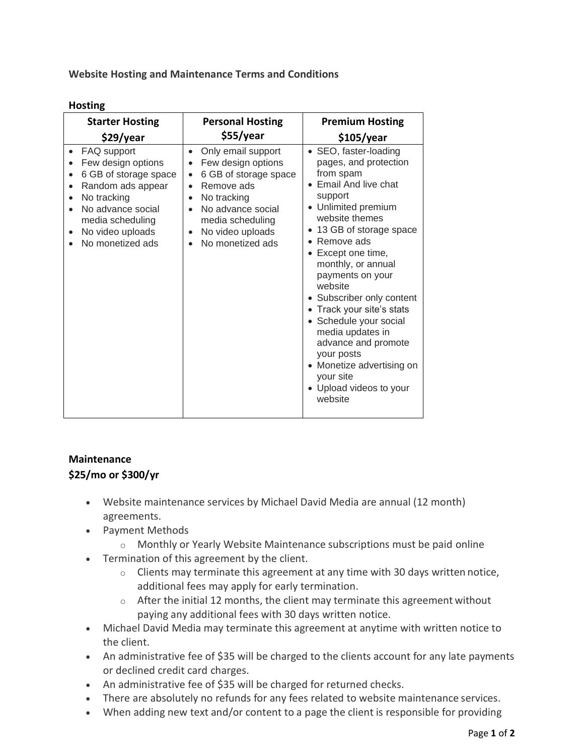**Website Hosting and Maintenance Terms and Conditions**

| <b>Hosting</b> |
|----------------|
|----------------|

| <b>Starter Hosting</b>                                                                                                                                                                       | <b>Personal Hosting</b>                                                                                                                                                                                                                                                                 | <b>Premium Hosting</b>                                                                                                                                                                                                                                                                                                                                                                                                                                                                     |
|----------------------------------------------------------------------------------------------------------------------------------------------------------------------------------------------|-----------------------------------------------------------------------------------------------------------------------------------------------------------------------------------------------------------------------------------------------------------------------------------------|--------------------------------------------------------------------------------------------------------------------------------------------------------------------------------------------------------------------------------------------------------------------------------------------------------------------------------------------------------------------------------------------------------------------------------------------------------------------------------------------|
| \$29/year                                                                                                                                                                                    | \$55/year                                                                                                                                                                                                                                                                               | \$105/year                                                                                                                                                                                                                                                                                                                                                                                                                                                                                 |
| FAQ support<br>Few design options<br>6 GB of storage space<br>Random ads appear<br>$\bullet$<br>No tracking<br>No advance social<br>media scheduling<br>No video uploads<br>No monetized ads | Only email support<br>$\bullet$<br>Few design options<br>$\bullet$<br>6 GB of storage space<br>$\bullet$<br>Remove ads<br>$\bullet$<br>No tracking<br>$\bullet$<br>No advance social<br>$\bullet$<br>media scheduling<br>No video uploads<br>$\bullet$<br>No monetized ads<br>$\bullet$ | • SEO, faster-loading<br>pages, and protection<br>from spam<br>• Email And live chat<br>support<br>• Unlimited premium<br>website themes<br>• 13 GB of storage space<br>• Remove ads<br>Except one time,<br>monthly, or annual<br>payments on your<br>website<br>• Subscriber only content<br>• Track your site's stats<br>• Schedule your social<br>media updates in<br>advance and promote<br>your posts<br>• Monetize advertising on<br>your site<br>• Upload videos to your<br>website |

## **Maintenance \$25/mo or \$300/yr**

- Website maintenance services by Michael David Media are annual (12 month) agreements.
- Payment Methods
	- o Monthly or Yearly Website Maintenance subscriptions must be paid online
- Termination of this agreement by the client.
	- $\circ$  Clients may terminate this agreement at any time with 30 days written notice, additional fees may apply for early termination.
	- $\circ$  After the initial 12 months, the client may terminate this agreement without paying any additional fees with 30 days written notice.
- Michael David Media may terminate this agreement at anytime with written notice to the client.
- An administrative fee of \$35 will be charged to the clients account for any late payments or declined credit card charges.
- An administrative fee of \$35 will be charged for returned checks.
- There are absolutely no refunds for any fees related to website maintenance services.
- When adding new text and/or content to a page the client is responsible for providing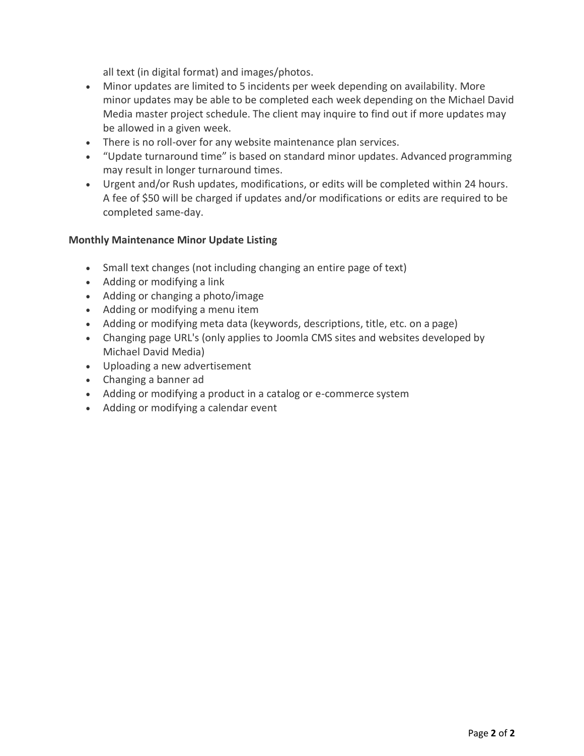all text (in digital format) and images/photos.

- Minor updates are limited to 5 incidents per week depending on availability. More minor updates may be able to be completed each week depending on the Michael David Media master project schedule. The client may inquire to find out if more updates may be allowed in a given week.
- There is no roll-over for any website maintenance plan services.
- "Update turnaround time" is based on standard minor updates. Advanced programming may result in longer turnaround times.
- Urgent and/or Rush updates, modifications, or edits will be completed within 24 hours. A fee of \$50 will be charged if updates and/or modifications or edits are required to be completed same-day.

## **Monthly Maintenance Minor Update Listing**

- Small text changes (not including changing an entire page of text)
- Adding or modifying a link
- Adding or changing a photo/image
- Adding or modifying a menu item
- Adding or modifying meta data (keywords, descriptions, title, etc. on a page)
- Changing page URL's (only applies to Joomla CMS sites and websites developed by Michael David Media)
- Uploading a new advertisement
- Changing a banner ad
- Adding or modifying a product in a catalog or e-commerce system
- Adding or modifying a calendar event